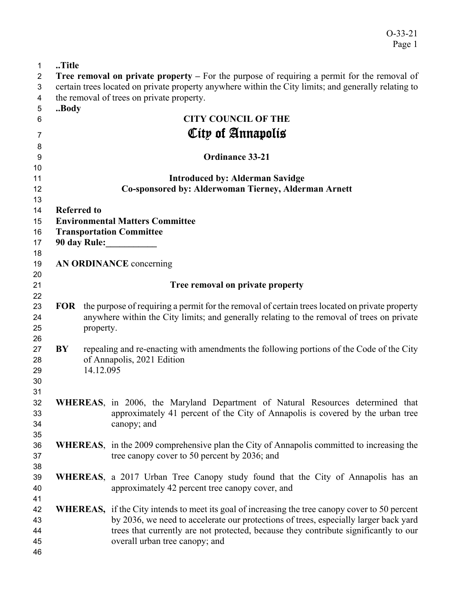| $\mathbf{1}$   | Title                                                                                                |           |                                                                                                         |  |  |
|----------------|------------------------------------------------------------------------------------------------------|-----------|---------------------------------------------------------------------------------------------------------|--|--|
| $\overline{2}$ | <b>Tree removal on private property</b> $-$ For the purpose of requiring a permit for the removal of |           |                                                                                                         |  |  |
| 3              | certain trees located on private property anywhere within the City limits; and generally relating to |           |                                                                                                         |  |  |
| 4              |                                                                                                      |           | the removal of trees on private property.                                                               |  |  |
| 5              | Body                                                                                                 |           |                                                                                                         |  |  |
| 6              |                                                                                                      |           | <b>CITY COUNCIL OF THE</b>                                                                              |  |  |
| 7              |                                                                                                      |           | City of Annapolis                                                                                       |  |  |
| 8              |                                                                                                      |           |                                                                                                         |  |  |
| 9              |                                                                                                      |           | <b>Ordinance 33-21</b>                                                                                  |  |  |
| 10             |                                                                                                      |           |                                                                                                         |  |  |
| 11             |                                                                                                      |           | <b>Introduced by: Alderman Savidge</b>                                                                  |  |  |
| 12             | Co-sponsored by: Alderwoman Tierney, Alderman Arnett                                                 |           |                                                                                                         |  |  |
| 13             |                                                                                                      |           |                                                                                                         |  |  |
| 14             | <b>Referred to</b>                                                                                   |           |                                                                                                         |  |  |
| 15             |                                                                                                      |           | <b>Environmental Matters Committee</b>                                                                  |  |  |
| 16             |                                                                                                      |           | <b>Transportation Committee</b>                                                                         |  |  |
| 17             |                                                                                                      |           | 90 day Rule:                                                                                            |  |  |
| 18             |                                                                                                      |           |                                                                                                         |  |  |
| 19             |                                                                                                      |           | AN ORDINANCE concerning                                                                                 |  |  |
| 20             |                                                                                                      |           |                                                                                                         |  |  |
| 21             |                                                                                                      |           | Tree removal on private property                                                                        |  |  |
| 22             |                                                                                                      |           |                                                                                                         |  |  |
| 23             |                                                                                                      |           | FOR the purpose of requiring a permit for the removal of certain trees located on private property      |  |  |
| 24             |                                                                                                      |           | anywhere within the City limits; and generally relating to the removal of trees on private              |  |  |
| 25             |                                                                                                      | property. |                                                                                                         |  |  |
| 26             |                                                                                                      |           |                                                                                                         |  |  |
| 27             | BY                                                                                                   |           | repealing and re-enacting with amendments the following portions of the Code of the City                |  |  |
| 28             |                                                                                                      |           | of Annapolis, 2021 Edition                                                                              |  |  |
| 29             |                                                                                                      | 14.12.095 |                                                                                                         |  |  |
| 30             |                                                                                                      |           |                                                                                                         |  |  |
| 31             |                                                                                                      |           |                                                                                                         |  |  |
| 32             |                                                                                                      |           | WHEREAS, in 2006, the Maryland Department of Natural Resources determined that                          |  |  |
| 33             |                                                                                                      |           | approximately 41 percent of the City of Annapolis is covered by the urban tree                          |  |  |
| 34<br>35       |                                                                                                      |           | canopy; and                                                                                             |  |  |
| 36             |                                                                                                      |           | <b>WHEREAS</b> , in the 2009 comprehensive plan the City of Annapolis committed to increasing the       |  |  |
| 37             |                                                                                                      |           | tree canopy cover to 50 percent by 2036; and                                                            |  |  |
| 38             |                                                                                                      |           |                                                                                                         |  |  |
| 39             |                                                                                                      |           | WHEREAS, a 2017 Urban Tree Canopy study found that the City of Annapolis has an                         |  |  |
| 40             |                                                                                                      |           | approximately 42 percent tree canopy cover, and                                                         |  |  |
| 41             |                                                                                                      |           |                                                                                                         |  |  |
| 42             |                                                                                                      |           | <b>WHEREAS</b> , if the City intends to meet its goal of increasing the tree canopy cover to 50 percent |  |  |
| 43             |                                                                                                      |           | by 2036, we need to accelerate our protections of trees, especially larger back yard                    |  |  |
| 44             |                                                                                                      |           | trees that currently are not protected, because they contribute significantly to our                    |  |  |
| 45             |                                                                                                      |           | overall urban tree canopy; and                                                                          |  |  |
| 46             |                                                                                                      |           |                                                                                                         |  |  |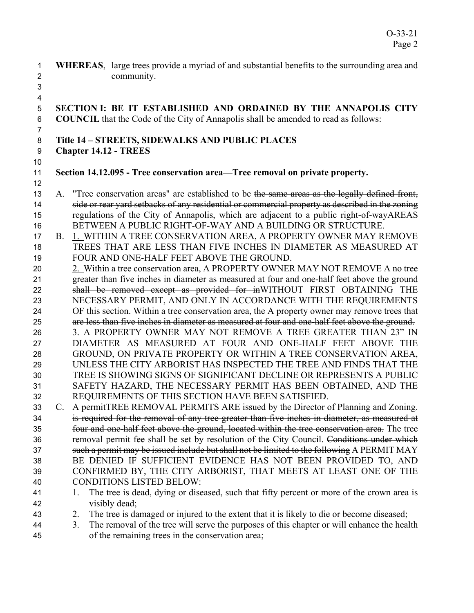- **WHEREAS**, large trees provide a myriad of and substantial benefits to the surrounding area and community.
- **SECTION I: BE IT ESTABLISHED AND ORDAINED BY THE ANNAPOLIS CITY COUNCIL** that the Code of the City of Annapolis shall be amended to read as follows:

## **Title 14 – STREETS, SIDEWALKS AND PUBLIC PLACES**

**Chapter 14.12 - TREES**  

 

## **Section 14.12.095 - Tree conservation area—Tree removal on private property.**

- 13 A. "Tree conservation areas" are established to be the same areas as the legally defined front, 14 side or rear yard setbacks of any residential or commercial property as described in the zoning regulations of the City of Annapolis, which are adjacent to a public right-of-wayAREAS BETWEEN A PUBLIC RIGHT-OF-WAY AND A BUILDING OR STRUCTURE.
- B. 1. WITHIN A TREE CONSERVATION AREA, A PROPERTY OWNER MAY REMOVE TREES THAT ARE LESS THAN FIVE INCHES IN DIAMETER AS MEASURED AT FOUR AND ONE-HALF FEET ABOVE THE GROUND.
- 20 2. Within a tree conservation area, A PROPERTY OWNER MAY NOT REMOVE A no tree greater than five inches in diameter as measured at four and one-half feet above the ground 22 shall be removed except as provided for inWITHOUT FIRST OBTAINING THE NECESSARY PERMIT, AND ONLY IN ACCORDANCE WITH THE REQUIREMENTS 24 OF this section. Within a tree conservation area, the A property owner may remove trees that are less than five inches in diameter as measured at four and one-half feet above the ground. 3. A PROPERTY OWNER MAY NOT REMOVE A TREE GREATER THAN 23" IN DIAMETER AS MEASURED AT FOUR AND ONE-HALF FEET ABOVE THE GROUND, ON PRIVATE PROPERTY OR WITHIN A TREE CONSERVATION AREA, UNLESS THE CITY ARBORIST HAS INSPECTED THE TREE AND FINDS THAT THE TREE IS SHOWING SIGNS OF SIGNIFICANT DECLINE OR REPRESENTS A PUBLIC
- SAFETY HAZARD, THE NECESSARY PERMIT HAS BEEN OBTAINED, AND THE REQUIREMENTS OF THIS SECTION HAVE BEEN SATISFIED. 33 C. A permitTREE REMOVAL PERMITS ARE issued by the Director of Planning and Zoning.
- is required for the removal of any tree greater than five inches in diameter, as measured at four and one-half feet above the ground, located within the tree conservation area. The tree 36 removal permit fee shall be set by resolution of the City Council. Conditions under which 37 such a permit may be issued include but shall not be limited to the following A PERMIT MAY BE DENIED IF SUFFICIENT EVIDENCE HAS NOT BEEN PROVIDED TO, AND CONFIRMED BY, THE CITY ARBORIST, THAT MEETS AT LEAST ONE OF THE CONDITIONS LISTED BELOW:
- 41 1. The tree is dead, dying or diseased, such that fifty percent or more of the crown area is visibly dead;
- 2. The tree is damaged or injured to the extent that it is likely to die or become diseased;
- 3. The removal of the tree will serve the purposes of this chapter or will enhance the health of the remaining trees in the conservation area;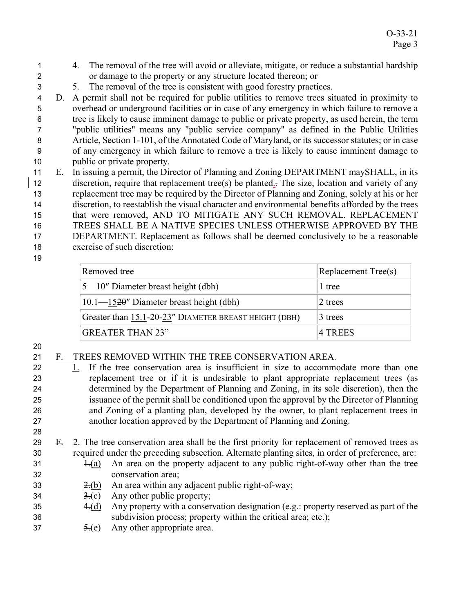- 4. The removal of the tree will avoid or alleviate, mitigate, or reduce a substantial hardship or damage to the property or any structure located thereon; or
- 5. The removal of the tree is consistent with good forestry practices.
- D. A permit shall not be required for public utilities to remove trees situated in proximity to overhead or underground facilities or in case of any emergency in which failure to remove a tree is likely to cause imminent damage to public or private property, as used herein, the term "public utilities" means any "public service company" as defined in the Public Utilities Article, Section 1-101, of the Annotated Code of Maryland, or its successor statutes; or in case of any emergency in which failure to remove a tree is likely to cause imminent damage to public or private property.
- 11 E. In issuing a permit, the Director of Planning and Zoning DEPARTMENT may SHALL, in its discretion, require that replacement tree(s) be planted.. The size, location and variety of any replacement tree may be required by the Director of Planning and Zoning, solely at his or her discretion, to reestablish the visual character and environmental benefits afforded by the trees that were removed, AND TO MITIGATE ANY SUCH REMOVAL. REPLACEMENT TREES SHALL BE A NATIVE SPECIES UNLESS OTHERWISE APPROVED BY THE DEPARTMENT. Replacement as follows shall be deemed conclusively to be a reasonable exercise of such discretion:
- 

| Removed tree                                          | Replacement Tree(s) |
|-------------------------------------------------------|---------------------|
| $5-10$ " Diameter breast height (dbh)                 | 1 tree              |
| $10.1 - 1520$ " Diameter breast height (dbh)          | 2 trees             |
| Greater than 15.1-20-23" DIAMETER BREAST HEIGHT (DBH) | 3 trees             |
| <b>GREATER THAN 23"</b>                               | 14 TREES            |

- F. TREES REMOVED WITHIN THE TREE CONSERVATION AREA.
- 1. If the tree conservation area is insufficient in size to accommodate more than one replacement tree or if it is undesirable to plant appropriate replacement trees (as determined by the Department of Planning and Zoning, in its sole discretion), then the issuance of the permit shall be conditioned upon the approval by the Director of Planning and Zoning of a planting plan, developed by the owner, to plant replacement trees in another location approved by the Department of Planning and Zoning.
- F. 2. The tree conservation area shall be the first priority for replacement of removed trees as required under the preceding subsection. Alternate planting sites, in order of preference, are:
- $\pm$ (a) An area on the property adjacent to any public right-of-way other than the tree conservation area;
- 33  $\frac{2(6)}{2}$  An area within any adjacent public right-of-way;
- 34  $\frac{3}{2}(c)$  Any other public property;
- 35 4.(d) Any property with a conservation designation (e.g.: property reserved as part of the subdivision process; property within the critical area; etc.);
- 37  $\frac{5}{6}$  Any other appropriate area.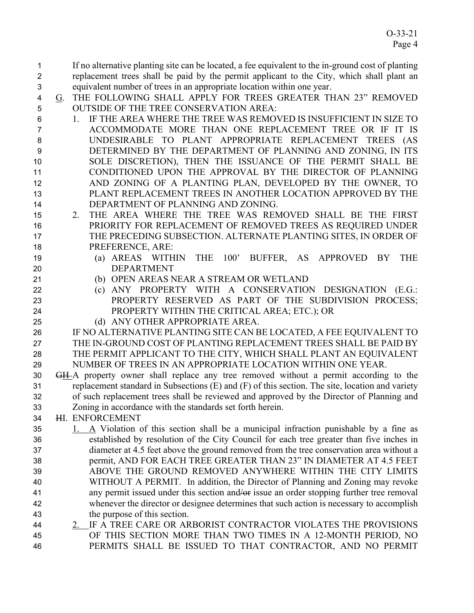If no alternative planting site can be located, a fee equivalent to the in-ground cost of planting replacement trees shall be paid by the permit applicant to the City, which shall plant an equivalent number of trees in an appropriate location within one year.

- G. THE FOLLOWING SHALL APPLY FOR TREES GREATER THAN 23" REMOVED OUTSIDE OF THE TREE CONSERVATION AREA:
- 1. IF THE AREA WHERE THE TREE WAS REMOVED IS INSUFFICIENT IN SIZE TO ACCOMMODATE MORE THAN ONE REPLACEMENT TREE OR IF IT IS UNDESIRABLE TO PLANT APPROPRIATE REPLACEMENT TREES (AS DETERMINED BY THE DEPARTMENT OF PLANNING AND ZONING, IN ITS SOLE DISCRETION), THEN THE ISSUANCE OF THE PERMIT SHALL BE CONDITIONED UPON THE APPROVAL BY THE DIRECTOR OF PLANNING AND ZONING OF A PLANTING PLAN, DEVELOPED BY THE OWNER, TO PLANT REPLACEMENT TREES IN ANOTHER LOCATION APPROVED BY THE DEPARTMENT OF PLANNING AND ZONING.
- 2. THE AREA WHERE THE TREE WAS REMOVED SHALL BE THE FIRST PRIORITY FOR REPLACEMENT OF REMOVED TREES AS REQUIRED UNDER THE PRECEDING SUBSECTION. ALTERNATE PLANTING SITES, IN ORDER OF PREFERENCE, ARE:
- (a) AREAS WITHIN THE 100' BUFFER, AS APPROVED BY THE DEPARTMENT
- (b) OPEN AREAS NEAR A STREAM OR WETLAND
- (c) ANY PROPERTY WITH A CONSERVATION DESIGNATION (E.G.: PROPERTY RESERVED AS PART OF THE SUBDIVISION PROCESS; PROPERTY WITHIN THE CRITICAL AREA; ETC.); OR
- (d) ANY OTHER APPROPRIATE AREA.
- IF NO ALTERNATIVE PLANTING SITE CAN BE LOCATED, A FEE EQUIVALENT TO 27 THE IN-GROUND COST OF PLANTING REPLACEMENT TREES SHALL BE PAID BY THE PERMIT APPLICANT TO THE CITY, WHICH SHALL PLANT AN EQUIVALENT NUMBER OF TREES IN AN APPROPRIATE LOCATION WITHIN ONE YEAR.
- 30 GH-A property owner shall replace any tree removed without a permit according to the replacement standard in Subsections (E) and (F) of this section. The site, location and variety of such replacement trees shall be reviewed and approved by the Director of Planning and Zoning in accordance with the standards set forth herein.
- HI. ENFORCEMENT
- 1. A Violation of this section shall be a municipal infraction punishable by a fine as established by resolution of the City Council for each tree greater than five inches in diameter at 4.5 feet above the ground removed from the tree conservation area without a permit, AND FOR EACH TREE GREATER THAN 23" IN DIAMETER AT 4.5 FEET ABOVE THE GROUND REMOVED ANYWHERE WITHIN THE CITY LIMITS WITHOUT A PERMIT. In addition, the Director of Planning and Zoning may revoke 41 any permit issued under this section and/or issue an order stopping further tree removal whenever the director or designee determines that such action is necessary to accomplish the purpose of this section.
- 2. IF A TREE CARE OR ARBORIST CONTRACTOR VIOLATES THE PROVISIONS OF THIS SECTION MORE THAN TWO TIMES IN A 12-MONTH PERIOD, NO PERMITS SHALL BE ISSUED TO THAT CONTRACTOR, AND NO PERMIT